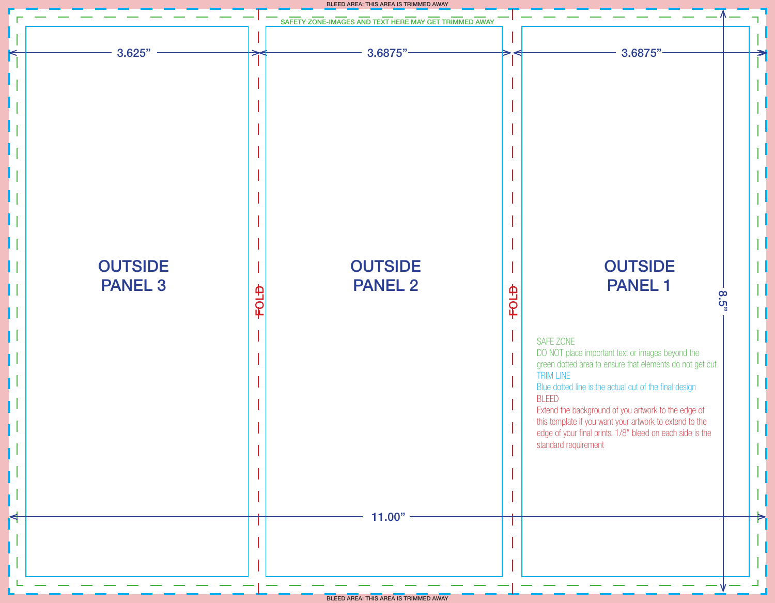